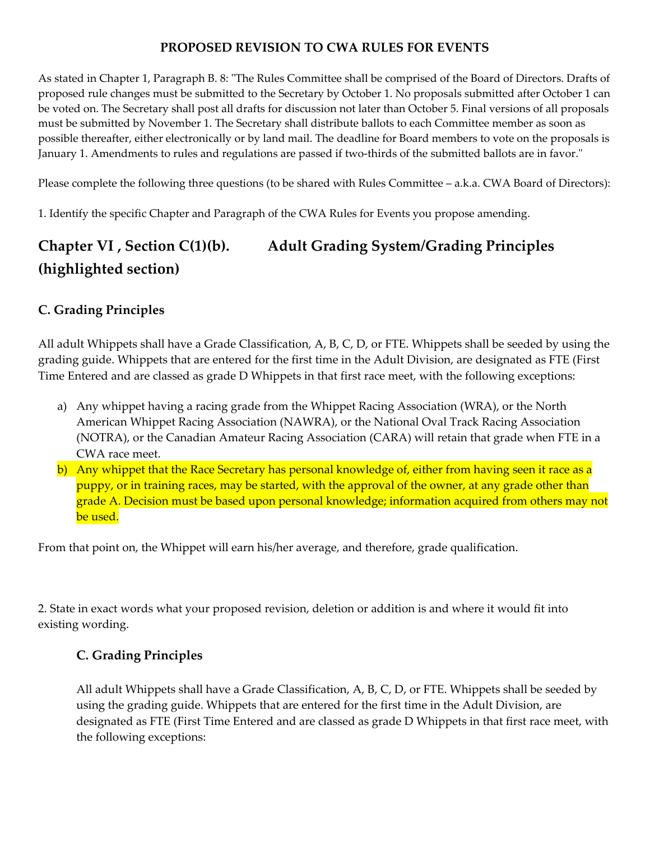#### **PROPOSED REVISION TO CWA RULES FOR EVENTS**

As stated in Chapter 1, Paragraph B. 8: "The Rules Committee shall be comprised of the Board of Directors. Drafts of proposed rule changes must be submitted to the Secretary by October 1. No proposals submitted after October 1 can be voted on. The Secretary shall post all drafts for discussion not later than October 5. Final versions of all proposals must be submitted by November 1. The Secretary shall distribute ballots to each Committee member as soon as possible thereafter, either electronically or by land mail. The deadline for Board members to vote on the proposals is January 1. Amendments to rules and regulations are passed if two-thirds of the submitted ballots are in favor."

Please complete the following three questions (to be shared with Rules Committee – a.k.a. CWA Board of Directors):

1. Identify the specific Chapter and Paragraph of the CWA Rules for Events you propose amending.

# **Chapter VI , Section C(1)(b). Adult Grading System/Grading Principles (highlighted section)**

### **C. Grading Principles**

All adult Whippets shall have a Grade Classification, A, B, C, D, or FTE. Whippets shall be seeded by using the grading guide. Whippets that are entered for the first time in the Adult Division, are designated as FTE (First Time Entered and are classed as grade D Whippets in that first race meet, with the following exceptions:

- a) Any whippet having a racing grade from the Whippet Racing Association (WRA), or the North American Whippet Racing Association (NAWRA), or the National Oval Track Racing Association (NOTRA), or the Canadian Amateur Racing Association (CARA) will retain that grade when FTE in a CWA race meet.
- b) Any whippet that the Race Secretary has personal knowledge of, either from having seen it race as a puppy, or in training races, may be started, with the approval of the owner, at any grade other than grade A. Decision must be based upon personal knowledge; information acquired from others may not be used.

From that point on, the Whippet will earn his/her average, and therefore, grade qualification.

2. State in exact words what your proposed revision, deletion or addition is and where it would fit into existing wording.

### **C. Grading Principles**

All adult Whippets shall have a Grade Classification, A, B, C, D, or FTE. Whippets shall be seeded by using the grading guide. Whippets that are entered for the first time in the Adult Division, are designated as FTE (First Time Entered and are classed as grade D Whippets in that first race meet, with the following exceptions: